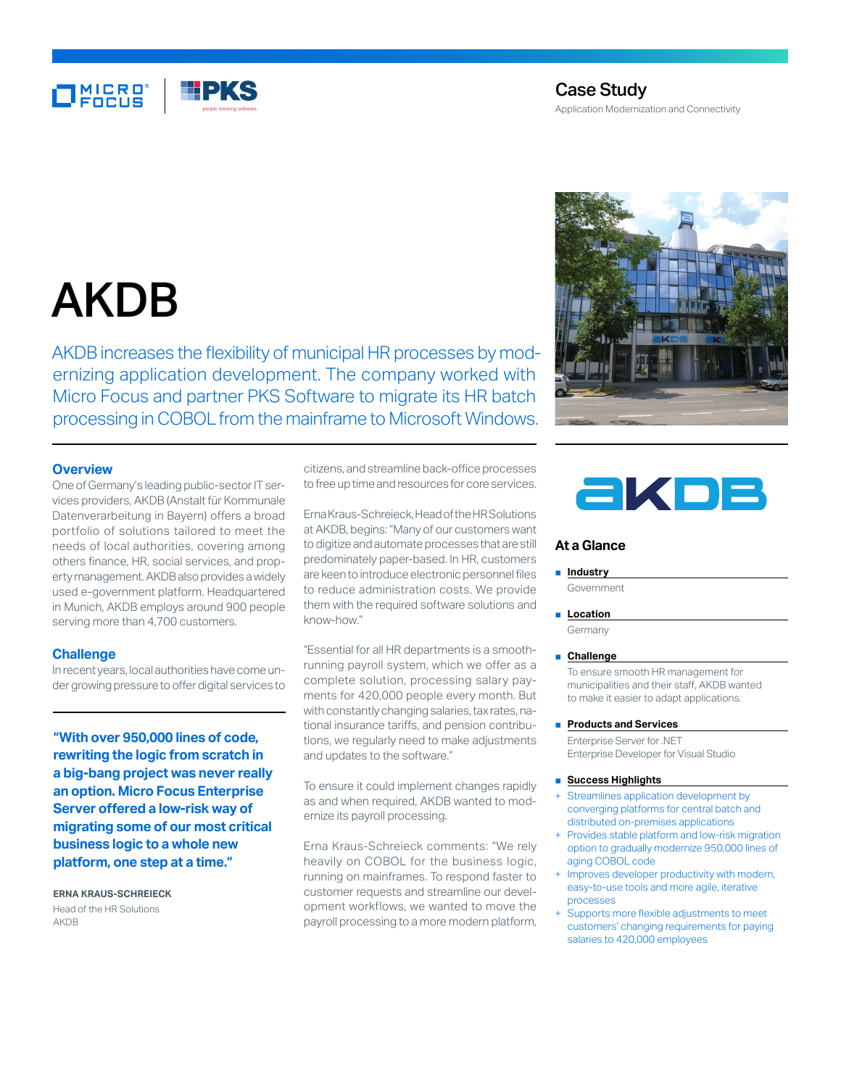

# Case Study Application Modernization and Connectivity

# AKDB

AKDB increases the flexibility of municipal HR processes by modernizing application development. The company worked with Micro Focus and partner PKS Software to migrate its HR batch processing in COBOL from the mainframe to Microsoft Windows.

# **Overview**

One of Germany's leading public-sector IT services providers, AKDB (Anstalt für Kommunale Datenverarbeitung in Bayern) offers a broad portfolio of solutions tailored to meet the needs of local authorities, covering among others finance, HR, social services, and property management. AKDB also provides a widely used e-government platform. Headquartered in Munich, AKDB employs around 900 people serving more than 4,700 customers.

## **Challenge**

In recent years, local authorities have come under growing pressure to offer digital services to

**"With over 950,000 lines of code, rewriting the logic from scratch in a big-bang project was never really an option. Micro Focus Enterprise Server offered a low-risk way of migrating some of our most critical business logic to a whole new platform, one step at a time."**

**ERNA KRAUS-SCHREIECK** Head of the HR Solutions AKDB

citizens, and streamline back-office processes to free up time and resources for core services.

Erna Kraus-Schreieck, Head of the HR Solutions at AKDB, begins: "Many of our customers want to digitize and automate processes that are still predominately paper-based. In HR, customers are keen to introduce electronic personnel files to reduce administration costs. We provide them with the required software solutions and know-how."

"Essential for all HR departments is a smoothrunning payroll system, which we offer as a complete solution, processing salary payments for 420,000 people every month. But with constantly changing salaries, tax rates, national insurance tariffs, and pension contributions, we regularly need to make adjustments and updates to the software."

To ensure it could implement changes rapidly as and when required, AKDB wanted to modernize its payroll processing.

Erna Kraus-Schreieck comments: "We rely heavily on COBOL for the business logic, running on mainframes. To respond faster to customer requests and streamline our development workflows, we wanted to move the payroll processing to a more modern platform,





# **At a Glance**

#### ■ **Industry**

Government

■ **Location** 

Germany

■ **Challenge**

To ensure smooth HR management for municipalities and their staff, AKDB wanted to make it easier to adapt applications.

#### ■ **Products and Services**

Enterprise Server for .NET Enterprise Developer for Visual Studio

### ■ **Success Highlights**

- Streamlines application development by converging platforms for central batch and distributed on-premises applications
- Provides stable platform and low-risk migration option to gradually modernize 950,000 lines of aging COBOL code
- Improves developer productivity with modern, easy-to-use tools and more agile, iterative processes
- Supports more flexible adjustments to meet customers' changing requirements for paying salaries to 420,000 employees